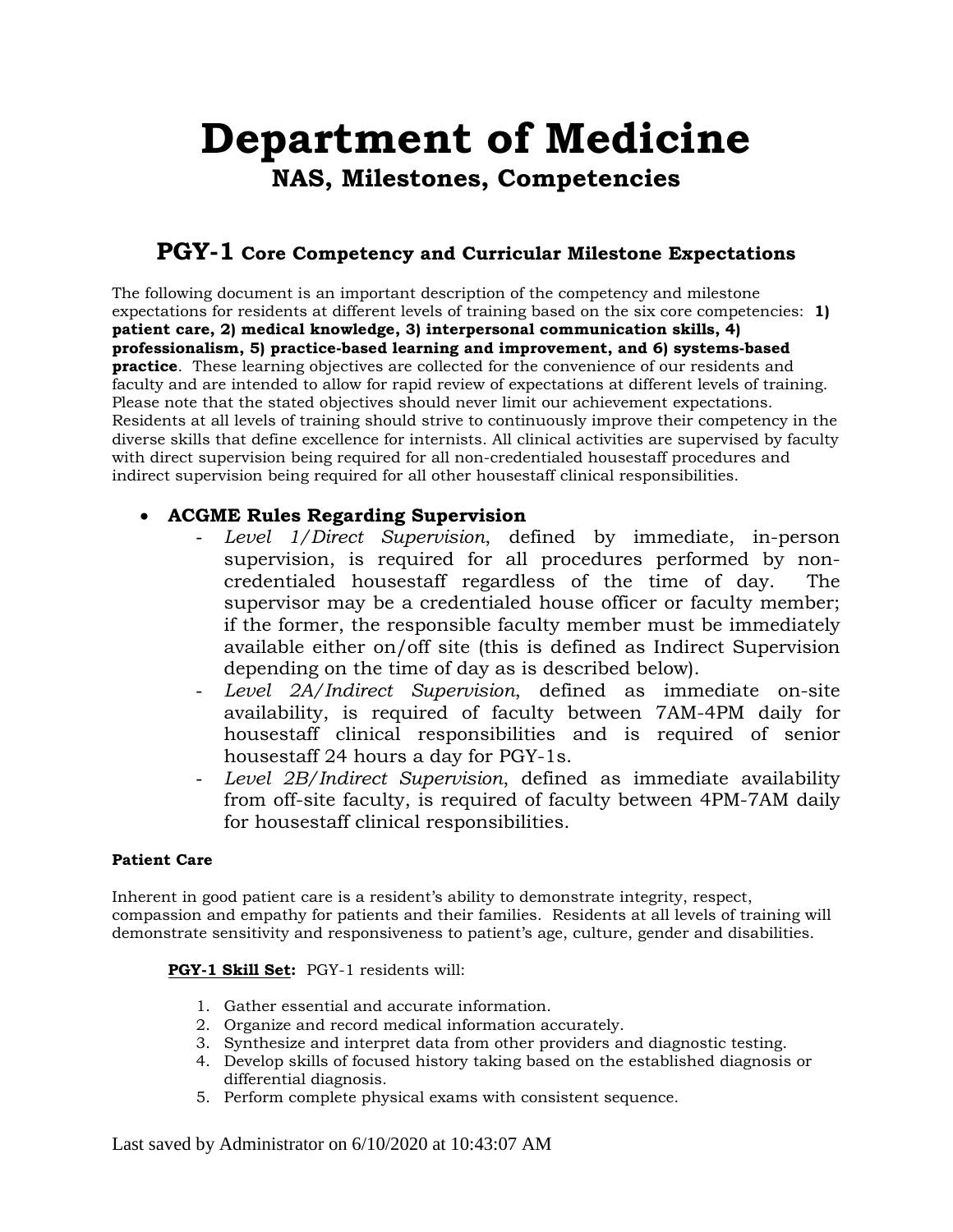# **Department of Medicine NAS, Milestones, Competencies**

## **PGY-1 Core Competency and Curricular Milestone Expectations**

The following document is an important description of the competency and milestone expectations for residents at different levels of training based on the six core competencies: **1) patient care, 2) medical knowledge, 3) interpersonal communication skills, 4) professionalism, 5) practice-based learning and improvement, and 6) systems-based practice**. These learning objectives are collected for the convenience of our residents and faculty and are intended to allow for rapid review of expectations at different levels of training. Please note that the stated objectives should never limit our achievement expectations. Residents at all levels of training should strive to continuously improve their competency in the diverse skills that define excellence for internists. All clinical activities are supervised by faculty with direct supervision being required for all non-credentialed housestaff procedures and indirect supervision being required for all other housestaff clinical responsibilities.

#### • **ACGME Rules Regarding Supervision**

- *Level 1/Direct Supervision*, defined by immediate, in-person supervision, is required for all procedures performed by noncredentialed housestaff regardless of the time of day. The supervisor may be a credentialed house officer or faculty member; if the former, the responsible faculty member must be immediately available either on/off site (this is defined as Indirect Supervision depending on the time of day as is described below).
- *Level 2A/Indirect Supervision*, defined as immediate on-site availability, is required of faculty between 7AM-4PM daily for housestaff clinical responsibilities and is required of senior housestaff 24 hours a day for PGY-1s.
- *Level 2B/Indirect Supervision*, defined as immediate availability from off-site faculty, is required of faculty between 4PM-7AM daily for housestaff clinical responsibilities.

#### **Patient Care**

Inherent in good patient care is a resident's ability to demonstrate integrity, respect, compassion and empathy for patients and their families. Residents at all levels of training will demonstrate sensitivity and responsiveness to patient's age, culture, gender and disabilities.

#### **PGY-1 Skill Set:** PGY-1 residents will:

- 1. Gather essential and accurate information.
- 2. Organize and record medical information accurately.
- 3. Synthesize and interpret data from other providers and diagnostic testing.
- 4. Develop skills of focused history taking based on the established diagnosis or differential diagnosis.
- 5. Perform complete physical exams with consistent sequence.

Last saved by Administrator on 6/10/2020 at 10:43:07 AM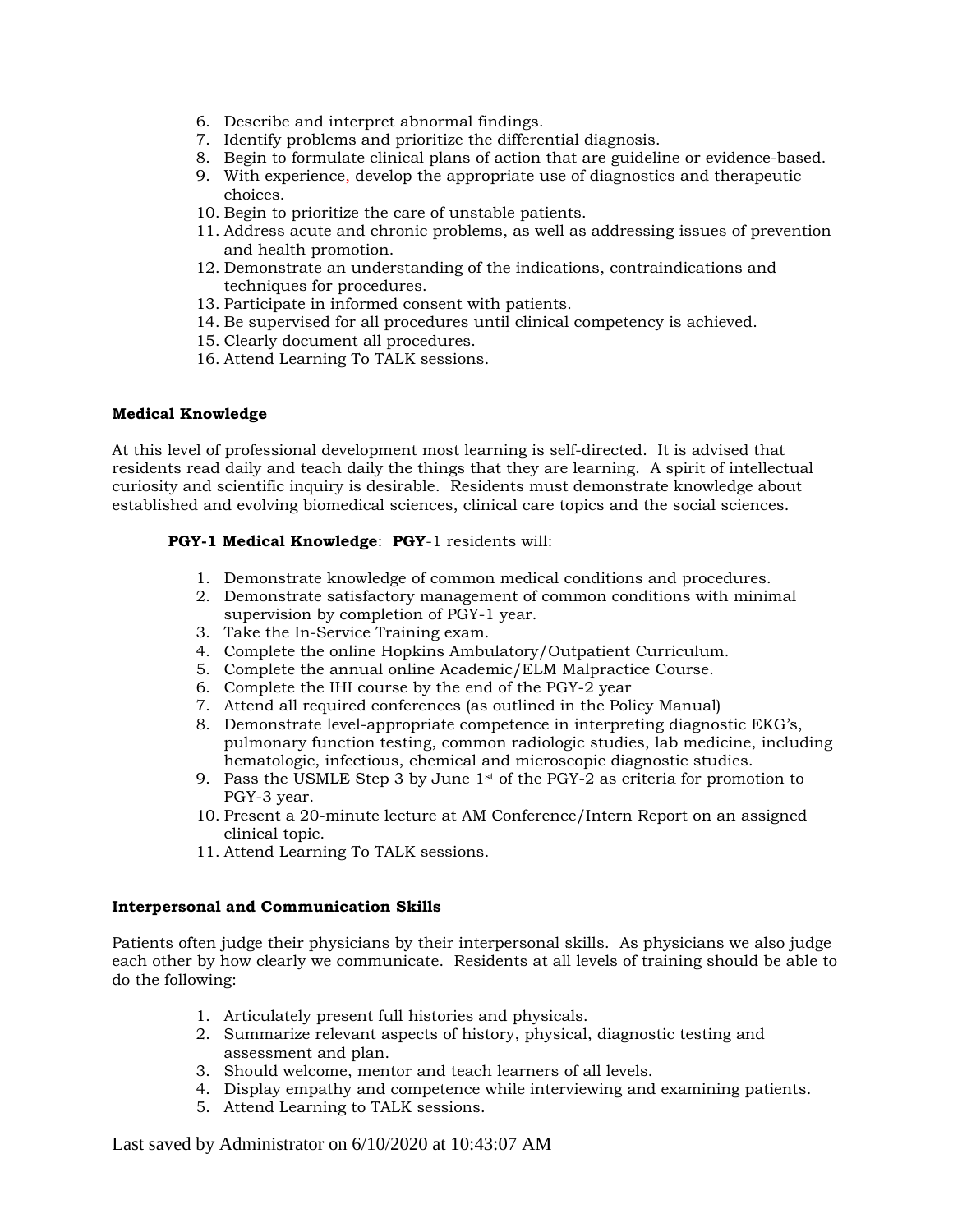- 6. Describe and interpret abnormal findings.
- 7. Identify problems and prioritize the differential diagnosis.
- 8. Begin to formulate clinical plans of action that are guideline or evidence-based.
- 9. With experience, develop the appropriate use of diagnostics and therapeutic choices.
- 10. Begin to prioritize the care of unstable patients.
- 11. Address acute and chronic problems, as well as addressing issues of prevention and health promotion.
- 12. Demonstrate an understanding of the indications, contraindications and techniques for procedures.
- 13. Participate in informed consent with patients.
- 14. Be supervised for all procedures until clinical competency is achieved.
- 15. Clearly document all procedures.
- 16. Attend Learning To TALK sessions.

#### **Medical Knowledge**

At this level of professional development most learning is self-directed. It is advised that residents read daily and teach daily the things that they are learning. A spirit of intellectual curiosity and scientific inquiry is desirable. Residents must demonstrate knowledge about established and evolving biomedical sciences, clinical care topics and the social sciences.

#### **PGY-1 Medical Knowledge**: **PGY**-1 residents will:

- 1. Demonstrate knowledge of common medical conditions and procedures.
- 2. Demonstrate satisfactory management of common conditions with minimal supervision by completion of PGY-1 year.
- 3. Take the In-Service Training exam.
- 4. Complete the online Hopkins Ambulatory/Outpatient Curriculum.
- 5. Complete the annual online Academic/ELM Malpractice Course.
- 6. Complete the IHI course by the end of the PGY-2 year
- 7. Attend all required conferences (as outlined in the Policy Manual)
- 8. Demonstrate level-appropriate competence in interpreting diagnostic EKG's, pulmonary function testing, common radiologic studies, lab medicine, including hematologic, infectious, chemical and microscopic diagnostic studies.
- 9. Pass the USMLE Step 3 by June 1st of the PGY-2 as criteria for promotion to PGY-3 year.
- 10. Present a 20-minute lecture at AM Conference/Intern Report on an assigned clinical topic.
- 11. Attend Learning To TALK sessions.

#### **Interpersonal and Communication Skills**

Patients often judge their physicians by their interpersonal skills. As physicians we also judge each other by how clearly we communicate. Residents at all levels of training should be able to do the following:

- 1. Articulately present full histories and physicals.
- 2. Summarize relevant aspects of history, physical, diagnostic testing and assessment and plan.
- 3. Should welcome, mentor and teach learners of all levels.
- 4. Display empathy and competence while interviewing and examining patients.
- 5. Attend Learning to TALK sessions.

Last saved by Administrator on 6/10/2020 at 10:43:07 AM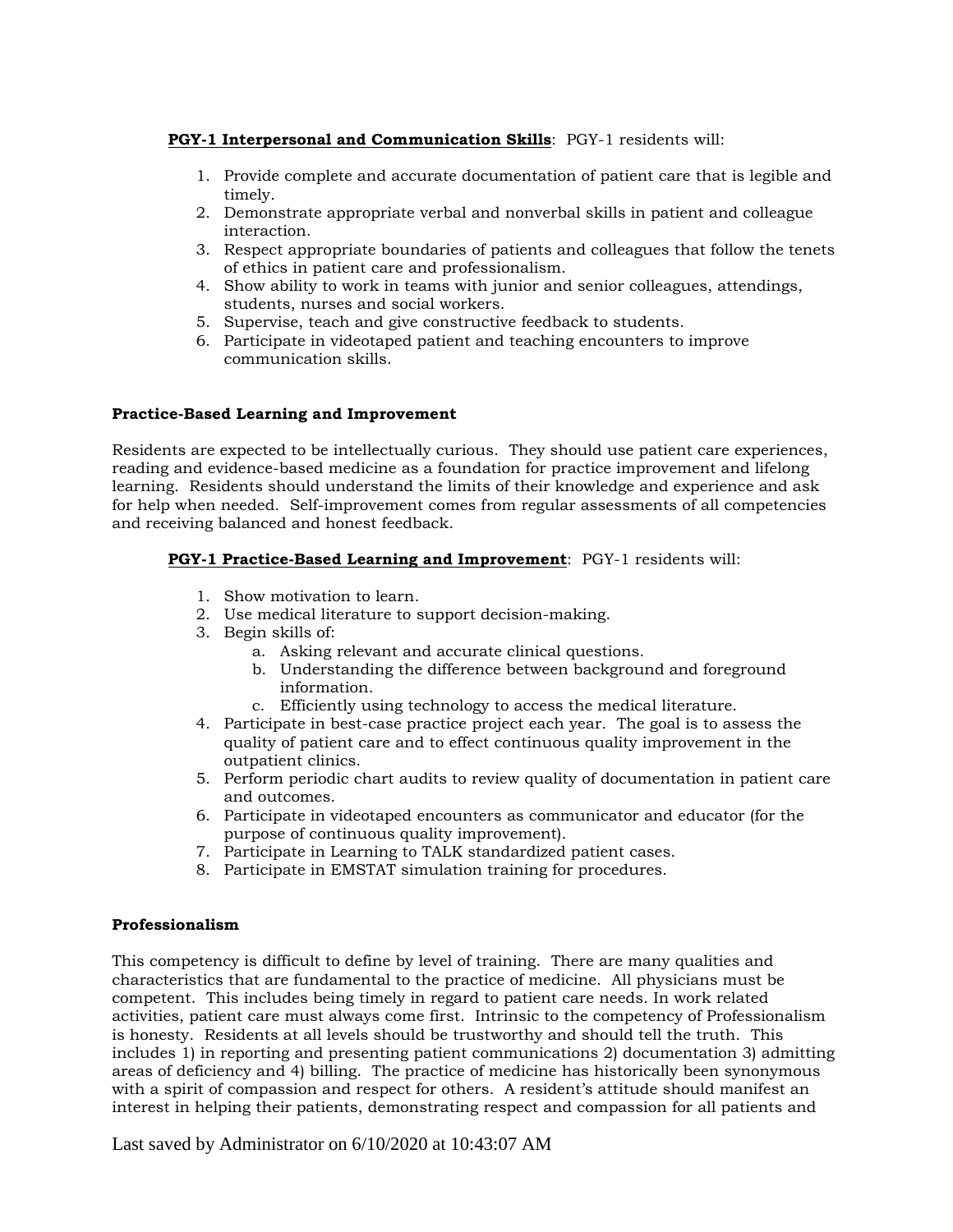#### **PGY-1 Interpersonal and Communication Skills**: PGY-1 residents will:

- 1. Provide complete and accurate documentation of patient care that is legible and timely.
- 2. Demonstrate appropriate verbal and nonverbal skills in patient and colleague interaction.
- 3. Respect appropriate boundaries of patients and colleagues that follow the tenets of ethics in patient care and professionalism.
- 4. Show ability to work in teams with junior and senior colleagues, attendings, students, nurses and social workers.
- 5. Supervise, teach and give constructive feedback to students.
- 6. Participate in videotaped patient and teaching encounters to improve communication skills.

#### **Practice-Based Learning and Improvement**

Residents are expected to be intellectually curious. They should use patient care experiences, reading and evidence-based medicine as a foundation for practice improvement and lifelong learning. Residents should understand the limits of their knowledge and experience and ask for help when needed. Self-improvement comes from regular assessments of all competencies and receiving balanced and honest feedback.

#### **PGY-1 Practice-Based Learning and Improvement**: PGY-1 residents will:

- 1. Show motivation to learn.
- 2. Use medical literature to support decision-making.
- 3. Begin skills of:
	- a. Asking relevant and accurate clinical questions.
	- b. Understanding the difference between background and foreground information.
	- c. Efficiently using technology to access the medical literature.
- 4. Participate in best-case practice project each year. The goal is to assess the quality of patient care and to effect continuous quality improvement in the outpatient clinics.
- 5. Perform periodic chart audits to review quality of documentation in patient care and outcomes.
- 6. Participate in videotaped encounters as communicator and educator (for the purpose of continuous quality improvement).
- 7. Participate in Learning to TALK standardized patient cases.
- 8. Participate in EMSTAT simulation training for procedures.

#### **Professionalism**

This competency is difficult to define by level of training. There are many qualities and characteristics that are fundamental to the practice of medicine. All physicians must be competent. This includes being timely in regard to patient care needs. In work related activities, patient care must always come first. Intrinsic to the competency of Professionalism is honesty. Residents at all levels should be trustworthy and should tell the truth. This includes 1) in reporting and presenting patient communications 2) documentation 3) admitting areas of deficiency and 4) billing. The practice of medicine has historically been synonymous with a spirit of compassion and respect for others. A resident's attitude should manifest an interest in helping their patients, demonstrating respect and compassion for all patients and

Last saved by Administrator on 6/10/2020 at 10:43:07 AM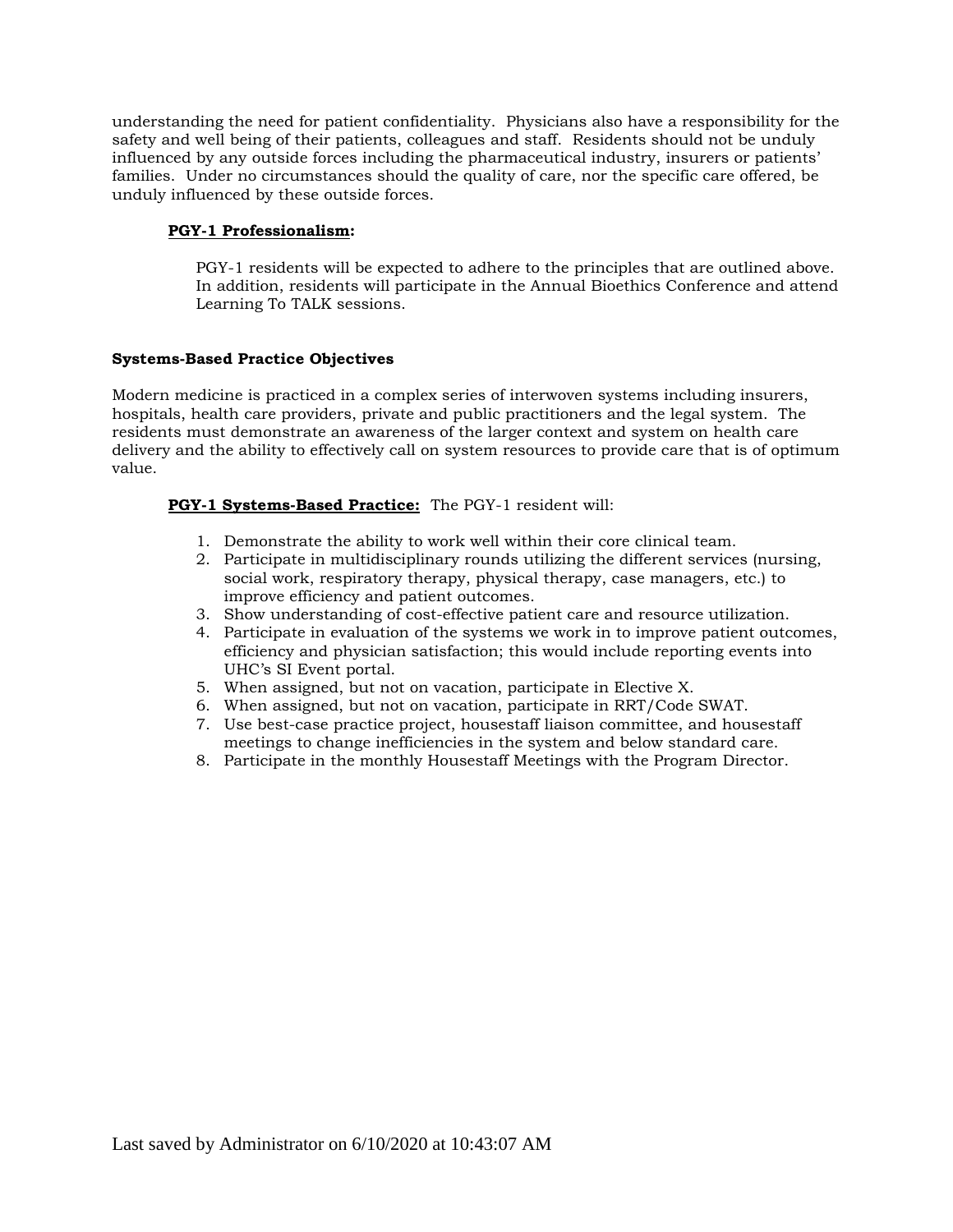understanding the need for patient confidentiality. Physicians also have a responsibility for the safety and well being of their patients, colleagues and staff. Residents should not be unduly influenced by any outside forces including the pharmaceutical industry, insurers or patients' families. Under no circumstances should the quality of care, nor the specific care offered, be unduly influenced by these outside forces.

#### **PGY-1 Professionalism:**

PGY-1 residents will be expected to adhere to the principles that are outlined above. In addition, residents will participate in the Annual Bioethics Conference and attend Learning To TALK sessions.

#### **Systems-Based Practice Objectives**

Modern medicine is practiced in a complex series of interwoven systems including insurers, hospitals, health care providers, private and public practitioners and the legal system. The residents must demonstrate an awareness of the larger context and system on health care delivery and the ability to effectively call on system resources to provide care that is of optimum value.

#### **PGY-1 Systems-Based Practice:** The PGY-1 resident will:

- 1. Demonstrate the ability to work well within their core clinical team.
- 2. Participate in multidisciplinary rounds utilizing the different services (nursing, social work, respiratory therapy, physical therapy, case managers, etc.) to improve efficiency and patient outcomes.
- 3. Show understanding of cost-effective patient care and resource utilization.
- 4. Participate in evaluation of the systems we work in to improve patient outcomes, efficiency and physician satisfaction; this would include reporting events into UHC's SI Event portal.
- 5. When assigned, but not on vacation, participate in Elective X.
- 6. When assigned, but not on vacation, participate in RRT/Code SWAT.
- 7. Use best-case practice project, housestaff liaison committee, and housestaff meetings to change inefficiencies in the system and below standard care.
- 8. Participate in the monthly Housestaff Meetings with the Program Director.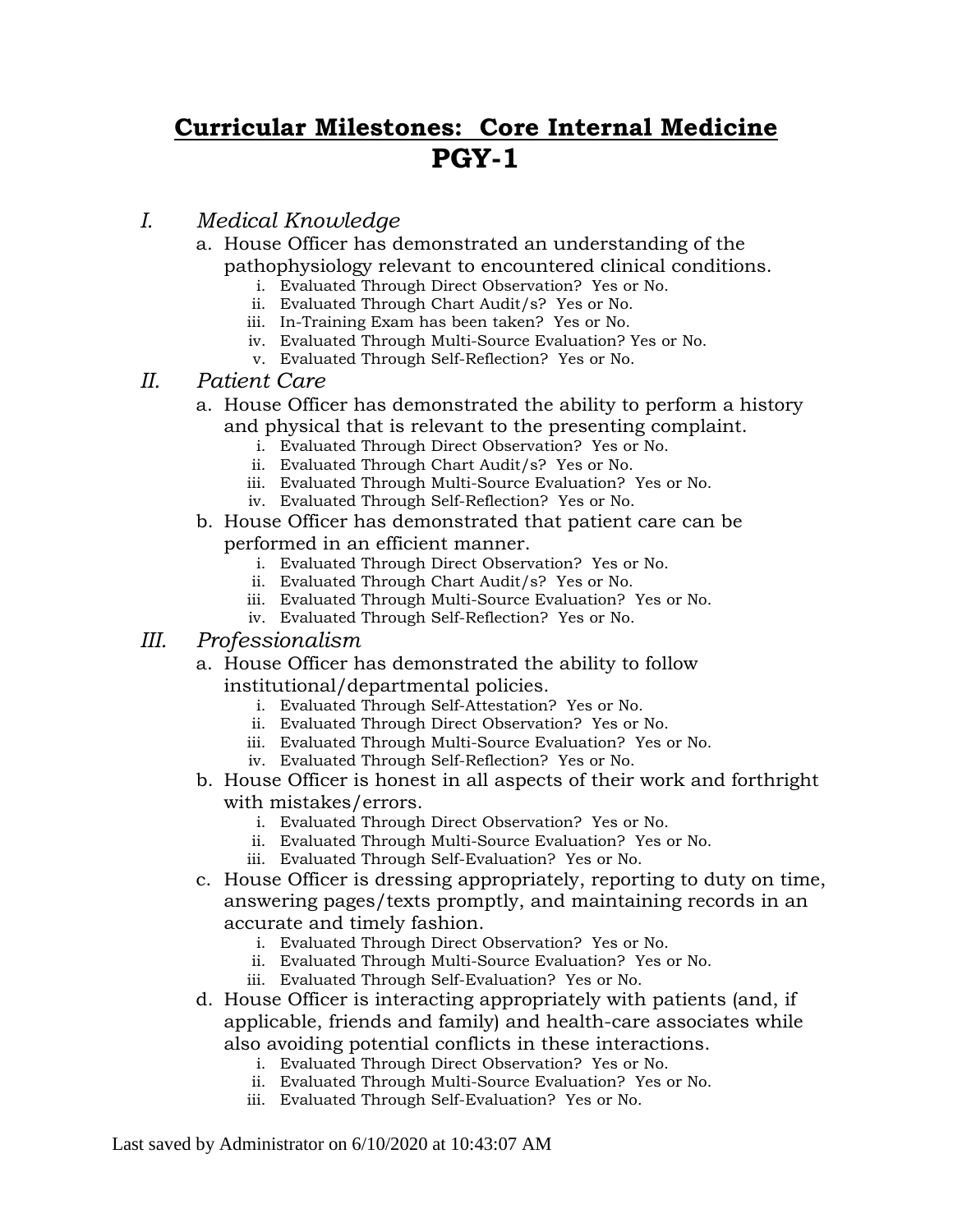## **Curricular Milestones: Core Internal Medicine PGY-1**

## *I. Medical Knowledge*

- a. House Officer has demonstrated an understanding of the pathophysiology relevant to encountered clinical conditions.
	- i. Evaluated Through Direct Observation? Yes or No.
	- ii. Evaluated Through Chart Audit/s? Yes or No.
	- iii. In-Training Exam has been taken? Yes or No.
	- iv. Evaluated Through Multi-Source Evaluation? Yes or No.
	- v. Evaluated Through Self-Reflection? Yes or No.

## *II. Patient Care*

- a. House Officer has demonstrated the ability to perform a history and physical that is relevant to the presenting complaint.
	- i. Evaluated Through Direct Observation? Yes or No.
	- ii. Evaluated Through Chart Audit/s? Yes or No.
	- iii. Evaluated Through Multi-Source Evaluation? Yes or No.
	- iv. Evaluated Through Self-Reflection? Yes or No.
- b. House Officer has demonstrated that patient care can be performed in an efficient manner.
	- i. Evaluated Through Direct Observation? Yes or No.
	- ii. Evaluated Through Chart Audit/s? Yes or No.
	- iii. Evaluated Through Multi-Source Evaluation? Yes or No.
	- iv. Evaluated Through Self-Reflection? Yes or No.
- *III. Professionalism*
	- a. House Officer has demonstrated the ability to follow institutional/departmental policies.
		- i. Evaluated Through Self-Attestation? Yes or No.
		- ii. Evaluated Through Direct Observation? Yes or No.
		- iii. Evaluated Through Multi-Source Evaluation? Yes or No.
		- iv. Evaluated Through Self-Reflection? Yes or No.
	- b. House Officer is honest in all aspects of their work and forthright with mistakes/errors.
		- i. Evaluated Through Direct Observation? Yes or No.
		- ii. Evaluated Through Multi-Source Evaluation? Yes or No.
		- iii. Evaluated Through Self-Evaluation? Yes or No.
	- c. House Officer is dressing appropriately, reporting to duty on time, answering pages/texts promptly, and maintaining records in an accurate and timely fashion.
		- i. Evaluated Through Direct Observation? Yes or No.
		- ii. Evaluated Through Multi-Source Evaluation? Yes or No.
		- iii. Evaluated Through Self-Evaluation? Yes or No.
	- d. House Officer is interacting appropriately with patients (and, if applicable, friends and family) and health-care associates while also avoiding potential conflicts in these interactions.
		- i. Evaluated Through Direct Observation? Yes or No.
		- ii. Evaluated Through Multi-Source Evaluation? Yes or No.
		- iii. Evaluated Through Self-Evaluation? Yes or No.